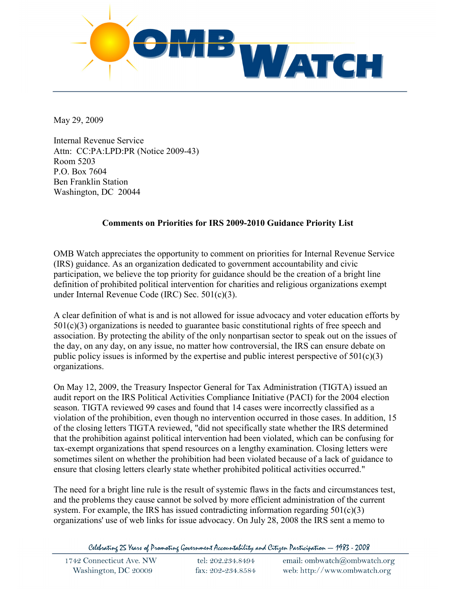

May 29, 2009

Internal Revenue Service Attn: CC:PA:LPD:PR (Notice 2009-43) Room 5203 P.O. Box 7604 Ben Franklin Station Washington, DC 20044

## **Comments on Priorities for IRS 2009-2010 Guidance Priority List**

OMB Watch appreciates the opportunity to comment on priorities for Internal Revenue Service (IRS) guidance. As an organization dedicated to government accountability and civic participation, we believe the top priority for guidance should be the creation of a bright line definition of prohibited political intervention for charities and religious organizations exempt under Internal Revenue Code (IRC) Sec. 501(c)(3).

A clear definition of what is and is not allowed for issue advocacy and voter education efforts by 501(c)(3) organizations is needed to guarantee basic constitutional rights of free speech and association. By protecting the ability of the only nonpartisan sector to speak out on the issues of the day, on any day, on any issue, no matter how controversial, the IRS can ensure debate on public policy issues is informed by the expertise and public interest perspective of  $501(c)(3)$ organizations.

On May 12, 2009, the Treasury Inspector General for Tax Administration (TIGTA) issued an audit report on the IRS Political Activities Compliance Initiative (PACI) for the 2004 election season. TIGTA reviewed 99 cases and found that 14 cases were incorrectly classified as a violation of the prohibition, even though no intervention occurred in those cases. In addition, 15 of the closing letters TIGTA reviewed, "did not specifically state whether the IRS determined that the prohibition against political intervention had been violated, which can be confusing for tax-exempt organizations that spend resources on a lengthy examination. Closing letters were sometimes silent on whether the prohibition had been violated because of a lack of guidance to ensure that closing letters clearly state whether prohibited political activities occurred."

The need for a bright line rule is the result of systemic flaws in the facts and circumstances test, and the problems they cause cannot be solved by more efficient administration of the current system. For example, the IRS has issued contradicting information regarding  $501(c)(3)$ organizations' use of web links for issue advocacy. On July 28, 2008 the IRS sent a memo to

Celebrating 25 Years of Promoting Government Accountability and Citizen Participation — 1983 - 2008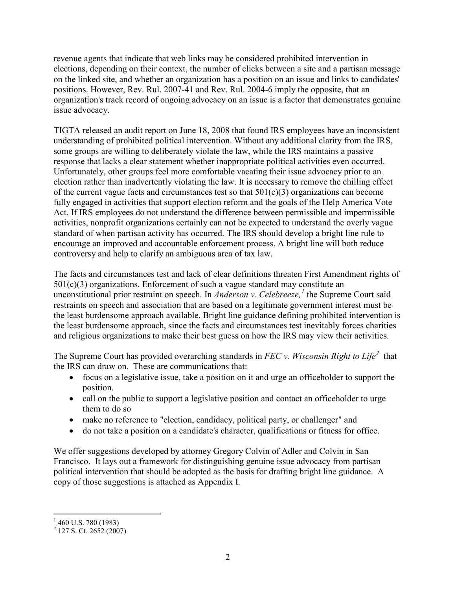revenue agents that indicate that web links may be considered prohibited intervention in elections, depending on their context, the number of clicks between a site and a partisan message on the linked site, and whether an organization has a position on an issue and links to candidates' positions. However, Rev. Rul. 2007-41 and Rev. Rul. 2004-6 imply the opposite, that an organization's track record of ongoing advocacy on an issue is a factor that demonstrates genuine issue advocacy.

TIGTA released an audit report on June 18, 2008 that found IRS employees have an inconsistent understanding of prohibited political intervention. Without any additional clarity from the IRS, some groups are willing to deliberately violate the law, while the IRS maintains a passive response that lacks a clear statement whether inappropriate political activities even occurred. Unfortunately, other groups feel more comfortable vacating their issue advocacy prior to an election rather than inadvertently violating the law. It is necessary to remove the chilling effect of the current vague facts and circumstances test so that  $501(c)(3)$  organizations can become fully engaged in activities that support election reform and the goals of the Help America Vote Act. If IRS employees do not understand the difference between permissible and impermissible activities, nonprofit organizations certainly can not be expected to understand the overly vague standard of when partisan activity has occurred. The IRS should develop a bright line rule to encourage an improved and accountable enforcement process. A bright line will both reduce controversy and help to clarify an ambiguous area of tax law.

The facts and circumstances test and lack of clear definitions threaten First Amendment rights of  $501(c)(3)$  organizations. Enforcement of such a vague standard may constitute an unconstitutional prior restraint on speech. In *Anderson v. Celebreeze*,<sup>[1](#page-1-0)</sup> the Supreme Court said restraints on speech and association that are based on a legitimate government interest must be the least burdensome approach available. Bright line guidance defining prohibited intervention is the least burdensome approach, since the facts and circumstances test inevitably forces charities and religious organizations to make their best guess on how the IRS may view their activities.

The Supreme Court has provided overarching standards in *FEC v. Wisconsin Right to Life*<sup>[2](#page-1-1)</sup> that the IRS can draw on. These are communications that:

- focus on a legislative issue, take a position on it and urge an officeholder to support the position.
- call on the public to support a legislative position and contact an officeholder to urge them to do so
- make no reference to "election, candidacy, political party, or challenger" and
- do not take a position on a candidate's character, qualifications or fitness for office.

We offer suggestions developed by attorney Gregory Colvin of Adler and Colvin in San Francisco. It lays out a framework for distinguishing genuine issue advocacy from partisan political intervention that should be adopted as the basis for drafting bright line guidance. A copy of those suggestions is attached as Appendix I.

<span id="page-1-0"></span> $1\,460$  U.S. 780 (1983)

<span id="page-1-1"></span> $^{2}$  127 S. Ct. 2652 (2007)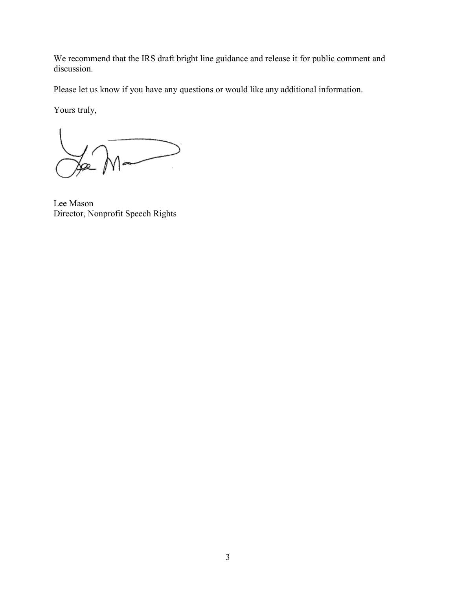We recommend that the IRS draft bright line guidance and release it for public comment and discussion.

Please let us know if you have any questions or would like any additional information.

Yours truly,

 $\sqrt{1-\frac{1}{2}}$ 

Lee Mason Director, Nonprofit Speech Rights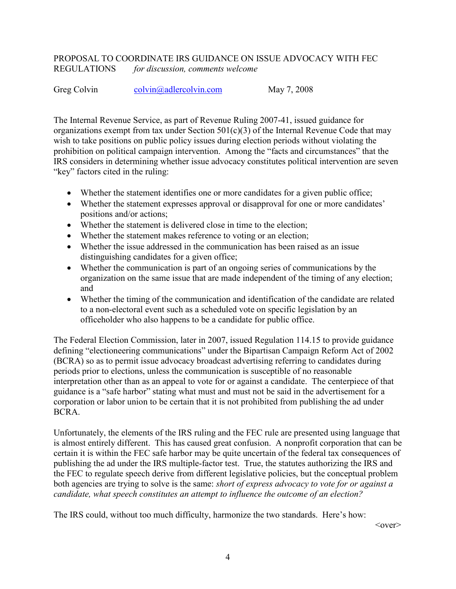## PROPOSAL TO COORDINATE IRS GUIDANCE ON ISSUE ADVOCACY WITH FEC REGULATIONS *for discussion, comments welcome*

Greg Colvin colvin colvin and colvin com May 7, 2008

The Internal Revenue Service, as part of Revenue Ruling 2007-41, issued guidance for organizations exempt from tax under Section  $501(c)(3)$  of the Internal Revenue Code that may wish to take positions on public policy issues during election periods without violating the prohibition on political campaign intervention. Among the "facts and circumstances" that the IRS considers in determining whether issue advocacy constitutes political intervention are seven "key" factors cited in the ruling:

- Whether the statement identifies one or more candidates for a given public office;
- Whether the statement expresses approval or disapproval for one or more candidates' positions and/or actions;
- Whether the statement is delivered close in time to the election;
- Whether the statement makes reference to voting or an election;
- Whether the issue addressed in the communication has been raised as an issue distinguishing candidates for a given office;
- Whether the communication is part of an ongoing series of communications by the organization on the same issue that are made independent of the timing of any election; and
- Whether the timing of the communication and identification of the candidate are related to a non-electoral event such as a scheduled vote on specific legislation by an officeholder who also happens to be a candidate for public office.

The Federal Election Commission, later in 2007, issued Regulation 114.15 to provide guidance defining "electioneering communications" under the Bipartisan Campaign Reform Act of 2002 (BCRA) so as to permit issue advocacy broadcast advertising referring to candidates during periods prior to elections, unless the communication is susceptible of no reasonable interpretation other than as an appeal to vote for or against a candidate. The centerpiece of that guidance is a "safe harbor" stating what must and must not be said in the advertisement for a corporation or labor union to be certain that it is not prohibited from publishing the ad under BCRA.

Unfortunately, the elements of the IRS ruling and the FEC rule are presented using language that is almost entirely different. This has caused great confusion. A nonprofit corporation that can be certain it is within the FEC safe harbor may be quite uncertain of the federal tax consequences of publishing the ad under the IRS multiple-factor test. True, the statutes authorizing the IRS and the FEC to regulate speech derive from different legislative policies, but the conceptual problem both agencies are trying to solve is the same: *short of express advocacy to vote for or against a candidate, what speech constitutes an attempt to influence the outcome of an election?*

The IRS could, without too much difficulty, harmonize the two standards. Here's how:

 $<$ <sub>over</sub> $>$